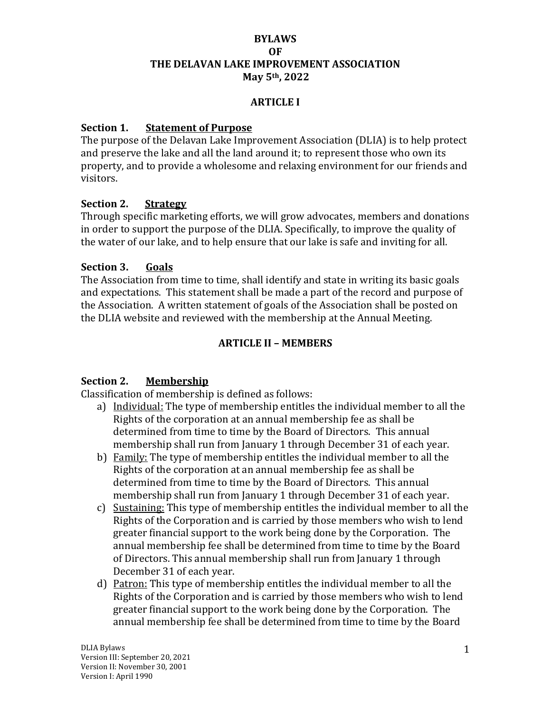### **BYLAWS OF THE DELAVAN LAKE IMPROVEMENT ASSOCIATION May 5th, 2022**

### **ARTICLE I**

### **Section 1. Statement of Purpose**

The purpose of the Delavan Lake Improvement Association (DLIA) is to help protect and preserve the lake and all the land around it; to represent those who own its property, and to provide a wholesome and relaxing environment for our friends and visitors.

### **Section 2. Strategy**

Through specific marketing efforts, we will grow advocates, members and donations in order to support the purpose of the DLIA. Specifically, to improve the quality of the water of our lake, and to help ensure that our lake is safe and inviting for all.

### **Section 3. Goals**

The Association from time to time, shall identify and state in writing its basic goals and expectations. This statement shall be made a part of the record and purpose of the Association. A written statement of goals of the Association shall be posted on the DLIA website and reviewed with the membership at the Annual Meeting.

### **ARTICLE II – MEMBERS**

### **Section 2. Membership**

Classification of membership is defined as follows:

- a) Individual: The type of membership entitles the individual member to all the Rights of the corporation at an annual membership fee as shall be determined from time to time by the Board of Directors. This annual membership shall run from January 1 through December 31 of each year.
- b) Family: The type of membership entitles the individual member to all the Rights of the corporation at an annual membership fee as shall be determined from time to time by the Board of Directors. This annual membership shall run from January 1 through December 31 of each year.
- c) Sustaining: This type of membership entitles the individual member to all the Rights of the Corporation and is carried by those members who wish to lend greater financial support to the work being done by the Corporation. The annual membership fee shall be determined from time to time by the Board of Directors. This annual membership shall run from January 1 through December 31 of each year.
- d) Patron: This type of membership entitles the individual member to all the Rights of the Corporation and is carried by those members who wish to lend greater financial support to the work being done by the Corporation. The annual membership fee shall be determined from time to time by the Board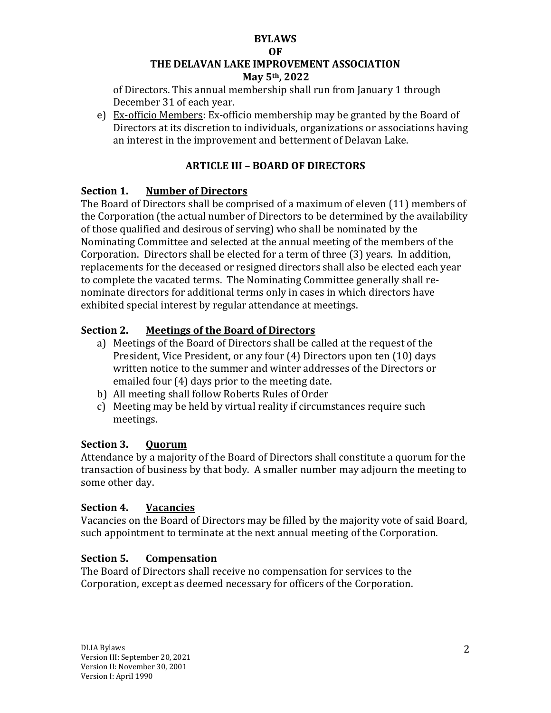#### **OF**

# **THE DELAVAN LAKE IMPROVEMENT ASSOCIATION**

### **May 5th, 2022**

of Directors. This annual membership shall run from January 1 through December 31 of each year.

e) Ex-officio Members: Ex-officio membership may be granted by the Board of Directors at its discretion to individuals, organizations or associations having an interest in the improvement and betterment of Delavan Lake.

# **ARTICLE III – BOARD OF DIRECTORS**

# **Section 1. Number of Directors**

The Board of Directors shall be comprised of a maximum of eleven (11) members of the Corporation (the actual number of Directors to be determined by the availability of those qualified and desirous of serving) who shall be nominated by the Nominating Committee and selected at the annual meeting of the members of the Corporation. Directors shall be elected for a term of three (3) years. In addition, replacements for the deceased or resigned directors shall also be elected each year to complete the vacated terms. The Nominating Committee generally shall renominate directors for additional terms only in cases in which directors have exhibited special interest by regular attendance at meetings.

# **Section 2. Meetings of the Board of Directors**

- a) Meetings of the Board of Directors shall be called at the request of the President, Vice President, or any four (4) Directors upon ten (10) days written notice to the summer and winter addresses of the Directors or emailed four (4) days prior to the meeting date.
- b) All meeting shall follow Roberts Rules of Order
- c) Meeting may be held by virtual reality if circumstances require such meetings.

# **Section 3. Quorum**

Attendance by a majority of the Board of Directors shall constitute a quorum for the transaction of business by that body. A smaller number may adjourn the meeting to some other day.

# **Section 4. Vacancies**

Vacancies on the Board of Directors may be filled by the majority vote of said Board, such appointment to terminate at the next annual meeting of the Corporation.

# **Section 5. Compensation**

The Board of Directors shall receive no compensation for services to the Corporation, except as deemed necessary for officers of the Corporation.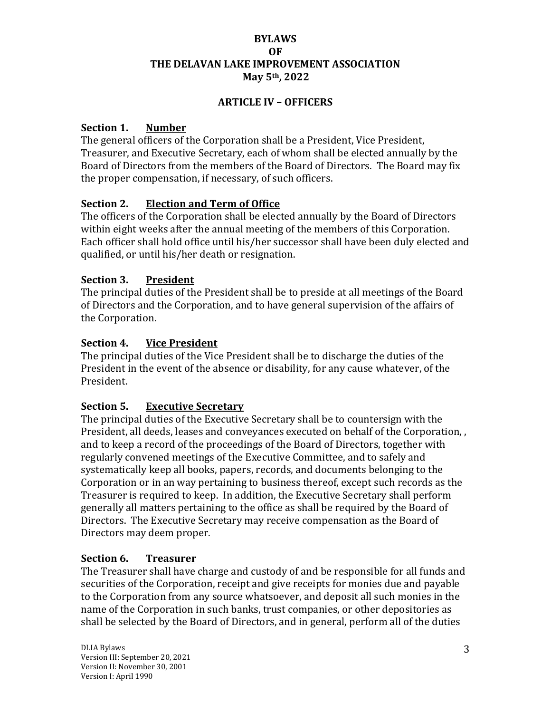### **BYLAWS OF THE DELAVAN LAKE IMPROVEMENT ASSOCIATION May 5th, 2022**

### **ARTICLE IV – OFFICERS**

### **Section 1. Number**

The general officers of the Corporation shall be a President, Vice President, Treasurer, and Executive Secretary, each of whom shall be elected annually by the Board of Directors from the members of the Board of Directors. The Board may fix the proper compensation, if necessary, of such officers.

### **Section 2. Election and Term of Office**

The officers of the Corporation shall be elected annually by the Board of Directors within eight weeks after the annual meeting of the members of this Corporation. Each officer shall hold office until his/her successor shall have been duly elected and qualified, or until his/her death or resignation.

### **Section 3. President**

The principal duties of the President shall be to preside at all meetings of the Board of Directors and the Corporation, and to have general supervision of the affairs of the Corporation.

### **Section 4. Vice President**

The principal duties of the Vice President shall be to discharge the duties of the President in the event of the absence or disability, for any cause whatever, of the President.

# **Section 5. Executive Secretary**

The principal duties of the Executive Secretary shall be to countersign with the President, all deeds, leases and conveyances executed on behalf of the Corporation, , and to keep a record of the proceedings of the Board of Directors, together with regularly convened meetings of the Executive Committee, and to safely and systematically keep all books, papers, records, and documents belonging to the Corporation or in an way pertaining to business thereof, except such records as the Treasurer is required to keep. In addition, the Executive Secretary shall perform generally all matters pertaining to the office as shall be required by the Board of Directors. The Executive Secretary may receive compensation as the Board of Directors may deem proper.

### **Section 6. Treasurer**

The Treasurer shall have charge and custody of and be responsible for all funds and securities of the Corporation, receipt and give receipts for monies due and payable to the Corporation from any source whatsoever, and deposit all such monies in the name of the Corporation in such banks, trust companies, or other depositories as shall be selected by the Board of Directors, and in general, perform all of the duties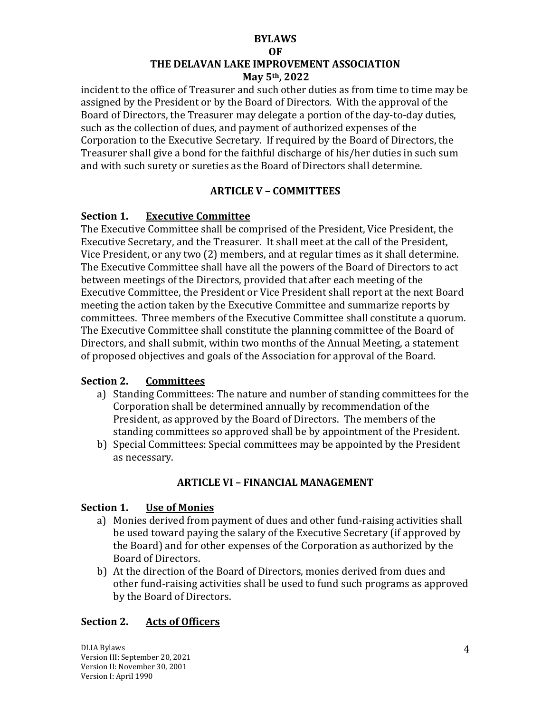#### **OF**

### **THE DELAVAN LAKE IMPROVEMENT ASSOCIATION May 5th, 2022**

incident to the office of Treasurer and such other duties as from time to time may be assigned by the President or by the Board of Directors. With the approval of the Board of Directors, the Treasurer may delegate a portion of the day-to-day duties, such as the collection of dues, and payment of authorized expenses of the Corporation to the Executive Secretary. If required by the Board of Directors, the Treasurer shall give a bond for the faithful discharge of his/her duties in such sum and with such surety or sureties as the Board of Directors shall determine.

# **ARTICLE V – COMMITTEES**

# **Section 1. Executive Committee**

The Executive Committee shall be comprised of the President, Vice President, the Executive Secretary, and the Treasurer. It shall meet at the call of the President, Vice President, or any two (2) members, and at regular times as it shall determine. The Executive Committee shall have all the powers of the Board of Directors to act between meetings of the Directors, provided that after each meeting of the Executive Committee, the President or Vice President shall report at the next Board meeting the action taken by the Executive Committee and summarize reports by committees. Three members of the Executive Committee shall constitute a quorum. The Executive Committee shall constitute the planning committee of the Board of Directors, and shall submit, within two months of the Annual Meeting, a statement of proposed objectives and goals of the Association for approval of the Board.

# **Section 2. Committees**

- a) Standing Committees: The nature and number of standing committees for the Corporation shall be determined annually by recommendation of the President, as approved by the Board of Directors. The members of the standing committees so approved shall be by appointment of the President.
- b) Special Committees: Special committees may be appointed by the President as necessary.

# **ARTICLE VI – FINANCIAL MANAGEMENT**

# **Section 1. Use of Monies**

- a) Monies derived from payment of dues and other fund-raising activities shall be used toward paying the salary of the Executive Secretary (if approved by the Board) and for other expenses of the Corporation as authorized by the Board of Directors.
- b) At the direction of the Board of Directors, monies derived from dues and other fund-raising activities shall be used to fund such programs as approved by the Board of Directors.

# **Section 2. Acts of Officers**

DLIA Bylaws Version III: September 20, 2021 Version II: November 30, 2001 Version I: April 1990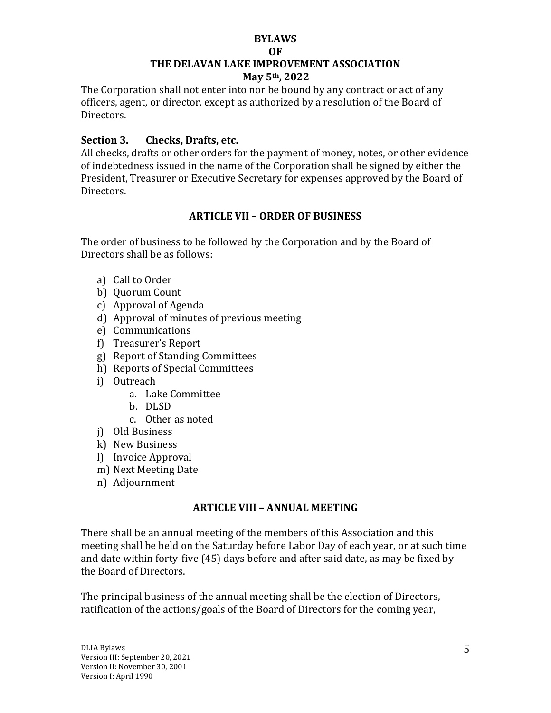#### **OF**

# **THE DELAVAN LAKE IMPROVEMENT ASSOCIATION**

### **May 5th, 2022**

The Corporation shall not enter into nor be bound by any contract or act of any officers, agent, or director, except as authorized by a resolution of the Board of Directors.

# **Section 3. Checks, Drafts, etc.**

All checks, drafts or other orders for the payment of money, notes, or other evidence of indebtedness issued in the name of the Corporation shall be signed by either the President, Treasurer or Executive Secretary for expenses approved by the Board of Directors.

### **ARTICLE VII – ORDER OF BUSINESS**

The order of business to be followed by the Corporation and by the Board of Directors shall be as follows:

- a) Call to Order
- b) Quorum Count
- c) Approval of Agenda
- d) Approval of minutes of previous meeting
- e) Communications
- f) Treasurer's Report
- g) Report of Standing Committees
- h) Reports of Special Committees
- i) Outreach
	- a. Lake Committee
	- b. DLSD
	- c. Other as noted
- j) Old Business
- k) New Business
- l) Invoice Approval
- m) Next Meeting Date
- n) Adjournment

# **ARTICLE VIII – ANNUAL MEETING**

There shall be an annual meeting of the members of this Association and this meeting shall be held on the Saturday before Labor Day of each year, or at such time and date within forty-five (45) days before and after said date, as may be fixed by the Board of Directors.

The principal business of the annual meeting shall be the election of Directors, ratification of the actions/goals of the Board of Directors for the coming year,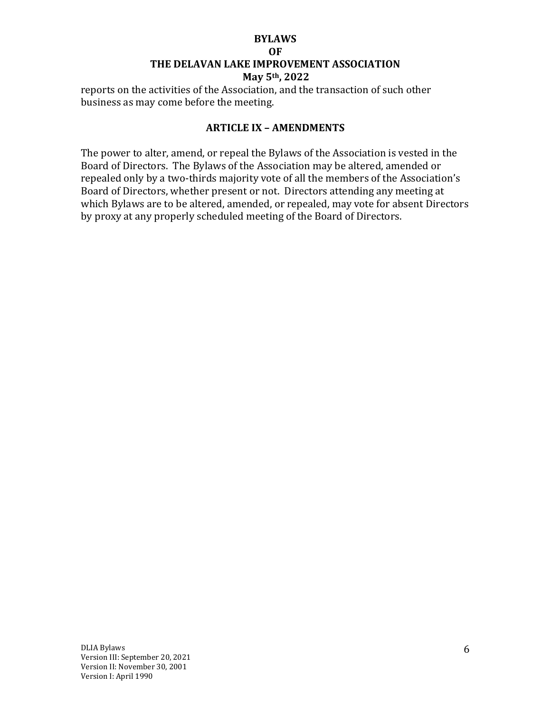#### **OF**

### **THE DELAVAN LAKE IMPROVEMENT ASSOCIATION**

#### **May 5th, 2022**

reports on the activities of the Association, and the transaction of such other business as may come before the meeting.

### **ARTICLE IX – AMENDMENTS**

The power to alter, amend, or repeal the Bylaws of the Association is vested in the Board of Directors. The Bylaws of the Association may be altered, amended or repealed only by a two-thirds majority vote of all the members of the Association's Board of Directors, whether present or not. Directors attending any meeting at which Bylaws are to be altered, amended, or repealed, may vote for absent Directors by proxy at any properly scheduled meeting of the Board of Directors.